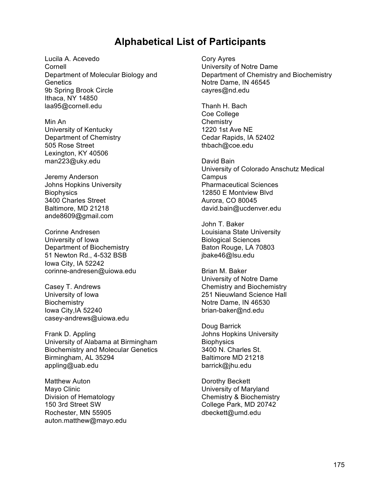## **Alphabetical List of Participants**

Lucila A. Acevedo Cornell Department of Molecular Biology and **Genetics** 9b Spring Brook Circle Ithaca, NY 14850 laa95@cornell.edu

Min An University of Kentucky Department of Chemistry 505 Rose Street Lexington, KY 40506 man223@uky.edu

Jeremy Anderson Johns Hopkins University **Biophysics** 3400 Charles Street Baltimore, MD 21218 ande8609@gmail.com

Corinne Andresen University of Iowa Department of Biochemistry 51 Newton Rd., 4-532 BSB Iowa City, IA 52242 corinne-andresen@uiowa.edu

Casey T. Andrews University of Iowa **Biochemistry** Iowa City,IA 52240 casey-andrews@uiowa.edu

Frank D. Appling University of Alabama at Birmingham Biochemistry and Molecular Genetics Birmingham, AL 35294 appling@uab.edu

Matthew Auton Mayo Clinic Division of Hematology 150 3rd Street SW Rochester, MN 55905 auton.matthew@mayo.edu Cory Ayres University of Notre Dame Department of Chemistry and Biochemistry Notre Dame, IN 46545 cayres@nd.edu

Thanh H. Bach Coe College **Chemistry** 1220 1st Ave NE Cedar Rapids, IA 52402 thbach@coe.edu

David Bain University of Colorado Anschutz Medical Campus Pharmaceutical Sciences 12850 E Montview Blvd Aurora, CO 80045 david.bain@ucdenver.edu

John T. Baker Louisiana State University Biological Sciences Baton Rouge, LA 70803 jbake46@lsu.edu

Brian M. Baker University of Notre Dame Chemistry and Biochemistry 251 Nieuwland Science Hall Notre Dame, IN 46530 brian-baker@nd.edu

Doug Barrick Johns Hopkins University **Biophysics** 3400 N. Charles St. Baltimore MD 21218 barrick@jhu.edu

Dorothy Beckett University of Maryland Chemistry & Biochemistry College Park, MD 20742 dbeckett@umd.edu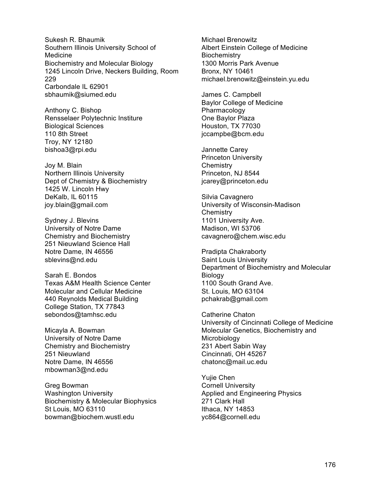Sukesh R. Bhaumik Southern Illinois University School of Medicine Biochemistry and Molecular Biology 1245 Lincoln Drive, Neckers Building, Room 229 Carbondale IL 62901 sbhaumik@siumed.edu

Anthony C. Bishop Rensselaer Polytechnic Institure Biological Sciences 110 8th Street Troy, NY 12180 bishoa3@rpi.edu

Joy M. Blain Northern Illinois University Dept of Chemistry & Biochemistry 1425 W. Lincoln Hwy DeKalb, IL 60115 joy.blain@gmail.com

Sydney J. Blevins University of Notre Dame Chemistry and Biochemistry 251 Nieuwland Science Hall Notre Dame, IN 46556 sblevins@nd.edu

Sarah E. Bondos Texas A&M Health Science Center Molecular and Cellular Medicine 440 Reynolds Medical Building College Station, TX 77843 sebondos@tamhsc.edu

Micayla A. Bowman University of Notre Dame Chemistry and Biochemistry 251 Nieuwland Notre Dame, IN 46556 mbowman3@nd.edu

Greg Bowman Washington University Biochemistry & Molecular Biophysics St Louis, MO 63110 bowman@biochem.wustl.edu

Michael Brenowitz Albert Einstein College of Medicine **Biochemistry** 1300 Morris Park Avenue Bronx, NY 10461 michael.brenowitz@einstein.yu.edu

James C. Campbell Baylor College of Medicine **Pharmacology** One Baylor Plaza Houston, TX 77030 jccampbe@bcm.edu

Jannette Carey Princeton University **Chemistry** Princeton, NJ 8544 jcarey@princeton.edu

Silvia Cavagnero University of Wisconsin-Madison **Chemistry** 1101 University Ave. Madison, WI 53706 cavagnero@chem.wisc.edu

Pradipta Chakraborty Saint Louis University Department of Biochemistry and Molecular Biology 1100 South Grand Ave. St. Louis, MO 63104 pchakrab@gmail.com

Catherine Chaton University of Cincinnati College of Medicine Molecular Genetics, Biochemistry and Microbiology 231 Abert Sabin Way Cincinnati, OH 45267 chatonc@mail.uc.edu

Yujie Chen Cornell University Applied and Engineering Physics 271 Clark Hall Ithaca, NY 14853 yc864@cornell.edu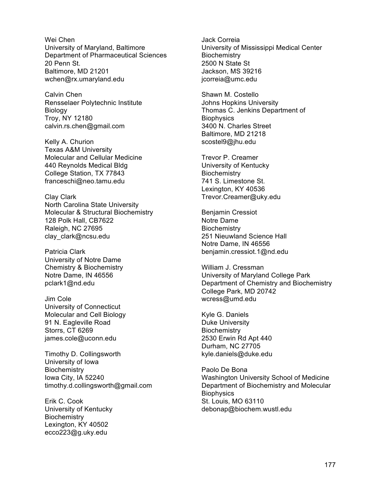Wei Chen University of Maryland, Baltimore Department of Pharmaceutical Sciences 20 Penn St. Baltimore, MD 21201 wchen@rx.umaryland.edu

Calvin Chen Rensselaer Polytechnic Institute Biology Troy, NY 12180 calvin.rs.chen@gmail.com

Kelly A. Churion Texas A&M University Molecular and Cellular Medicine 440 Reynolds Medical Bldg College Station, TX 77843 franceschi@neo.tamu.edu

Clay Clark North Carolina State University Molecular & Structural Biochemistry 128 Polk Hall, CB7622 Raleigh, NC 27695 clay\_clark@ncsu.edu

Patricia Clark University of Notre Dame Chemistry & Biochemistry Notre Dame, IN 46556 pclark1@nd.edu

Jim Cole University of Connecticut Molecular and Cell Biology 91 N. Eagleville Road Storrs, CT 6269 james.cole@uconn.edu

Timothy D. Collingsworth University of Iowa **Biochemistry** Iowa City, IA 52240 timothy.d.collingsworth@gmail.com

Erik C. Cook University of Kentucky **Biochemistry** Lexington, KY 40502 ecco223@g.uky.edu

Jack Correia University of Mississippi Medical Center **Biochemistry** 2500 N State St Jackson, MS 39216 jcorreia@umc.edu

Shawn M. Costello Johns Hopkins University Thomas C. Jenkins Department of **Biophysics** 3400 N. Charles Street Baltimore, MD 21218 scostel9@jhu.edu

Trevor P. Creamer University of Kentucky **Biochemistry** 741 S. Limestone St. Lexington, KY 40536 Trevor.Creamer@uky.edu

Benjamin Cressiot Notre Dame **Biochemistry** 251 Nieuwland Science Hall Notre Dame, IN 46556 benjamin.cressiot.1@nd.edu

William J. Cressman University of Maryland College Park Department of Chemistry and Biochemistry College Park, MD 20742 wcress@umd.edu

Kyle G. Daniels Duke University **Biochemistry** 2530 Erwin Rd Apt 440 Durham, NC 27705 kyle.daniels@duke.edu

Paolo De Bona Washington University School of Medicine Department of Biochemistry and Molecular **Biophysics** St. Louis, MO 63110 debonap@biochem.wustl.edu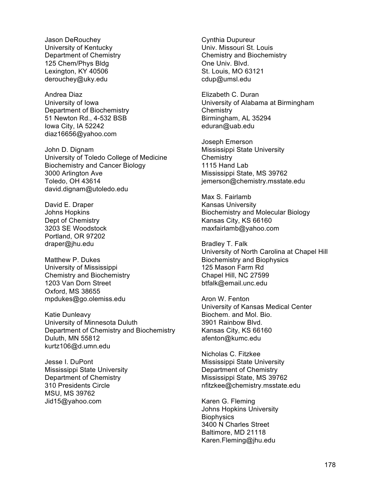Jason DeRouchey University of Kentucky Department of Chemistry 125 Chem/Phys Bldg Lexington, KY 40506 derouchey@uky.edu

Andrea Diaz University of Iowa Department of Biochemistry 51 Newton Rd., 4-532 BSB Iowa City, IA 52242 diaz16656@yahoo.com

John D. Dignam University of Toledo College of Medicine Biochemistry and Cancer Biology 3000 Arlington Ave Toledo, OH 43614 david.dignam@utoledo.edu

David E. Draper Johns Hopkins Dept of Chemistry 3203 SE Woodstock Portland, OR 97202 draper@jhu.edu

Matthew P. Dukes University of Mississippi Chemistry and Biochemistry 1203 Van Dorn Street Oxford, MS 38655 mpdukes@go.olemiss.edu

Katie Dunleavy University of Minnesota Duluth Department of Chemistry and Biochemistry Duluth, MN 55812 kurtz106@d.umn.edu

Jesse I. DuPont Mississippi State University Department of Chemistry 310 Presidents Circle MSU, MS 39762 Jid15@yahoo.com

Cynthia Dupureur Univ. Missouri St. Louis Chemistry and Biochemistry One Univ. Blvd. St. Louis, MO 63121 cdup@umsl.edu

Elizabeth C. Duran University of Alabama at Birmingham **Chemistry** Birmingham, AL 35294 eduran@uab.edu

Joseph Emerson Mississippi State University **Chemistry** 1115 Hand Lab Mississippi State, MS 39762 jemerson@chemistry.msstate.edu

Max S. Fairlamb Kansas University Biochemistry and Molecular Biology Kansas City, KS 66160 maxfairlamb@yahoo.com

Bradley T. Falk University of North Carolina at Chapel Hill Biochemistry and Biophysics 125 Mason Farm Rd Chapel Hill, NC 27599 btfalk@email.unc.edu

Aron W. Fenton University of Kansas Medical Center Biochem. and Mol. Bio. 3901 Rainbow Blvd. Kansas City, KS 66160 afenton@kumc.edu

Nicholas C. Fitzkee Mississippi State University Department of Chemistry Mississippi State, MS 39762 nfitzkee@chemistry.msstate.edu

Karen G. Fleming Johns Hopkins University **Biophysics** 3400 N Charles Street Baltimore, MD 21118 Karen.Fleming@jhu.edu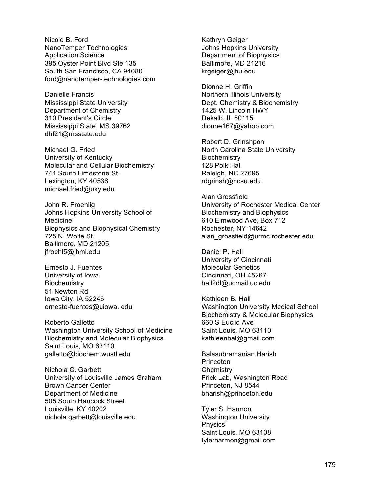Nicole B. Ford NanoTemper Technologies Application Science 395 Oyster Point Blvd Ste 135 South San Francisco, CA 94080 ford@nanotemper-technologies.com

Danielle Francis Mississippi State University Department of Chemistry 310 President's Circle Mississippi State, MS 39762 dhf21@msstate.edu

Michael G. Fried University of Kentucky Molecular and Cellular Biochemistry 741 South Limestone St. Lexington, KY 40536 michael.fried@uky.edu

John R. Froehlig Johns Hopkins University School of Medicine Biophysics and Biophysical Chemistry 725 N. Wolfe St. Baltimore, MD 21205 jfroehl5@jhmi.edu

Ernesto J. Fuentes University of Iowa **Biochemistry** 51 Newton Rd Iowa City, IA 52246 ernesto-fuentes@uiowa. edu

Roberto Galletto Washington University School of Medicine Biochemistry and Molecular Biophysics Saint Louis, MO 63110 galletto@biochem.wustl.edu

Nichola C. Garbett University of Louisville James Graham Brown Cancer Center Department of Medicine 505 South Hancock Street Louisville, KY 40202 nichola.garbett@louisville.edu

Kathryn Geiger Johns Hopkins University Department of Biophysics Baltimore, MD 21216 krgeiger@jhu.edu

Dionne H. Griffin Northern Illinois University Dept. Chemistry & Biochemistry 1425 W. Lincoln HWY Dekalb, IL 60115 dionne167@yahoo.com

Robert D. Grinshpon North Carolina State University **Biochemistry** 128 Polk Hall Raleigh, NC 27695 rdgrinsh@ncsu.edu

Alan Grossfield University of Rochester Medical Center Biochemistry and Biophysics 610 Elmwood Ave, Box 712 Rochester, NY 14642 alan\_grossfield@urmc.rochester.edu

Daniel P. Hall University of Cincinnati Molecular Genetics Cincinnati, OH 45267 hall2dl@ucmail.uc.edu

Kathleen B. Hall Washington University Medical School Biochemistry & Molecular Biophysics 660 S Euclid Ave Saint Louis, MO 63110 kathleenhal@gmail.com

Balasubramanian Harish **Princeton Chemistry** Frick Lab, Washington Road Princeton, NJ 8544 bharish@princeton.edu

Tyler S. Harmon Washington University Physics Saint Louis, MO 63108 tylerharmon@gmail.com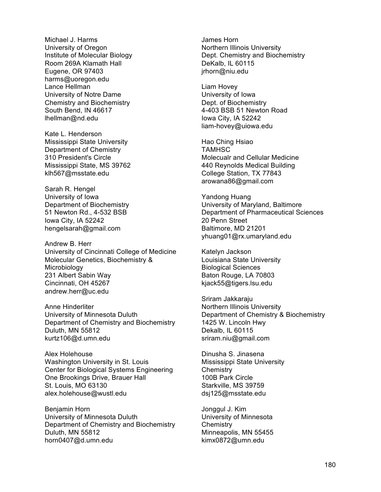Michael J. Harms University of Oregon Institute of Molecular Biology Room 269A Klamath Hall Eugene, OR 97403 harms@uoregon.edu Lance Hellman University of Notre Dame Chemistry and Biochemistry South Bend, IN 46617 lhellman@nd.edu

Kate L. Henderson Mississippi State University Department of Chemistry 310 President's Circle Mississippi State, MS 39762 klh567@msstate.edu

Sarah R. Hengel University of Iowa Department of Biochemistry 51 Newton Rd., 4-532 BSB Iowa City, IA 52242 hengelsarah@gmail.com

Andrew B. Herr University of Cincinnati College of Medicine Molecular Genetics, Biochemistry & **Microbiology** 231 Albert Sabin Way Cincinnati, OH 45267 andrew.herr@uc.edu

Anne Hinderliter University of Minnesota Duluth Department of Chemistry and Biochemistry Duluth, MN 55812 kurtz106@d.umn.edu

Alex Holehouse Washington University in St. Louis Center for Biological Systems Engineering One Brookings Drive, Brauer Hall St. Louis, MO 63130 alex.holehouse@wustl.edu

Benjamin Horn University of Minnesota Duluth Department of Chemistry and Biochemistry Duluth, MN 55812 horn0407@d.umn.edu

James Horn Northern Illinois University Dept. Chemistry and Biochemistry DeKalb, IL 60115 jrhorn@niu.edu

Liam Hovey University of Iowa Dept. of Biochemistry 4-403 BSB 51 Newton Road Iowa City, IA 52242 liam-hovey@uiowa.edu

Hao Ching Hsiao TAMHSC Molecualr and Cellular Medicine 440 Reynolds Medical Building College Station, TX 77843 arowana86@gmail.com

Yandong Huang University of Maryland, Baltimore Department of Pharmaceutical Sciences 20 Penn Street Baltimore, MD 21201 yhuang01@rx.umaryland.edu

Katelyn Jackson Louisiana State University Biological Sciences Baton Rouge, LA 70803 kjack55@tigers.lsu.edu

Sriram Jakkaraju Northern Illinois University Department of Chemistry & Biochemistry 1425 W. Lincoln Hwy Dekalb, IL 60115 sriram.niu@gmail.com

Dinusha S. Jinasena Mississippi State University **Chemistry** 100B Park Circle Starkville, MS 39759 dsj125@msstate.edu

Jonggul J. Kim University of Minnesota **Chemistry** Minneapolis, MN 55455 kimx0872@umn.edu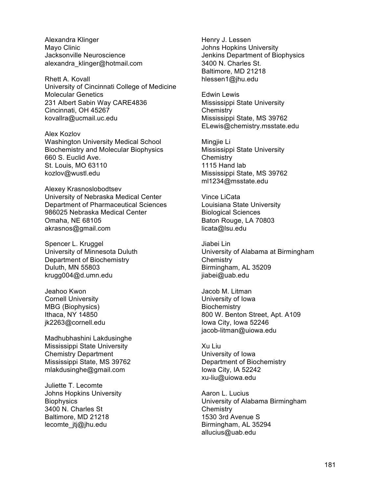Alexandra Klinger Mayo Clinic Jacksonville Neuroscience alexandra\_klinger@hotmail.com

Rhett A. Kovall University of Cincinnati College of Medicine Molecular Genetics 231 Albert Sabin Way CARE4836 Cincinnati, OH 45267 kovallra@ucmail.uc.edu

Alex Kozlov Washington University Medical School Biochemistry and Molecular Biophysics 660 S. Euclid Ave. St. Louis, MO 63110 kozlov@wustl.edu

Alexey Krasnoslobodtsev University of Nebraska Medical Center Department of Pharmaceutical Sciences 986025 Nebraska Medical Center Omaha, NE 68105 akrasnos@gmail.com

Spencer L. Kruggel University of Minnesota Duluth Department of Biochemistry Duluth, MN 55803 krugg004@d.umn.edu

Jeahoo Kwon Cornell University MBG (Biophysics) Ithaca, NY 14850 jk2263@cornell.edu

Madhubhashini Lakdusinghe Mississippi State University Chemistry Department Mississippi State, MS 39762 mlakdusinghe@gmail.com

Juliette T. Lecomte Johns Hopkins University **Biophysics** 3400 N. Charles St Baltimore, MD 21218 lecomte\_jtj@jhu.edu

Henry J. Lessen Johns Hopkins University Jenkins Department of Biophysics 3400 N. Charles St. Baltimore, MD 21218 hlessen1@jhu.edu

Edwin Lewis Mississippi State University **Chemistry** Mississippi State, MS 39762 ELewis@chemistry.msstate.edu

Mingjie Li Mississippi State University **Chemistry** 1115 Hand lab Mississippi State, MS 39762 ml1234@msstate.edu

Vince LiCata Louisiana State University Biological Sciences Baton Rouge, LA 70803 licata@lsu.edu

Jiabei Lin University of Alabama at Birmingham **Chemistry** Birmingham, AL 35209 jiabei@uab.edu

Jacob M. Litman University of Iowa **Biochemistry** 800 W. Benton Street, Apt. A109 Iowa City, Iowa 52246 jacob-litman@uiowa.edu

Xu Liu University of Iowa Department of Biochemistry Iowa City, IA 52242 xu-liu@uiowa.edu

Aaron L. Lucius University of Alabama Birmingham **Chemistry** 1530 3rd Avenue S Birmingham, AL 35294 allucius@uab.edu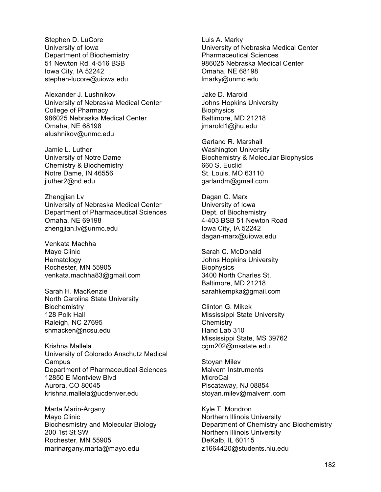Stephen D. LuCore University of Iowa Department of Biochemistry 51 Newton Rd, 4-516 BSB Iowa City, IA 52242 stephen-lucore@uiowa.edu

Alexander J. Lushnikov University of Nebraska Medical Center College of Pharmacy 986025 Nebraska Medical Center Omaha, NE 68198 alushnikov@unmc.edu

Jamie L. Luther University of Notre Dame Chemistry & Biochemistry Notre Dame, IN 46556 jluther2@nd.edu

Zhengjian Lv University of Nebraska Medical Center Department of Pharmaceutical Sciences Omaha, NE 69198 zhengjian.lv@unmc.edu

Venkata Machha Mayo Clinic Hematology Rochester, MN 55905 venkata.machha83@gmail.com

Sarah H. MacKenzie North Carolina State University **Biochemistry** 128 Polk Hall Raleigh, NC 27695 shmacken@ncsu.edu

Krishna Mallela University of Colorado Anschutz Medical Campus Department of Pharmaceutical Sciences 12850 E Montview Blvd Aurora, CO 80045 krishna.mallela@ucdenver.edu

Marta Marin-Argany Mayo Clinic Biochesmistry and Molecular Biology 200 1st St SW Rochester, MN 55905 marinargany.marta@mayo.edu

Luis A. Marky University of Nebraska Medical Center Pharmaceutical Sciences 986025 Nebraska Medical Center Omaha, NE 68198 lmarky@unmc.edu

Jake D. Marold Johns Hopkins University **Biophysics** Baltimore, MD 21218 jmarold1@jhu.edu

Garland R. Marshall Washington University Biochemistry & Molecular Biophysics 660 S. Euclid St. Louis, MO 63110 garlandm@gmail.com

Dagan C. Marx University of Iowa Dept. of Biochemistry 4-403 BSB 51 Newton Road Iowa City, IA 52242 dagan-marx@uiowa.edu

Sarah C. McDonald Johns Hopkins University **Biophysics** 3400 North Charles St. Baltimore, MD 21218 sarahkempka@gmail.com

Clinton G. Mikek Mississippi State University **Chemistry** Hand Lab 310 Mississippi State, MS 39762 cgm202@msstate.edu

Stoyan Milev Malvern Instruments **MicroCal** Piscataway, NJ 08854 stoyan.milev@malvern.com

Kyle T. Mondron Northern Illinois University Department of Chemistry and Biochemistry Northern Illinois University DeKalb, IL 60115 z1664420@students.niu.edu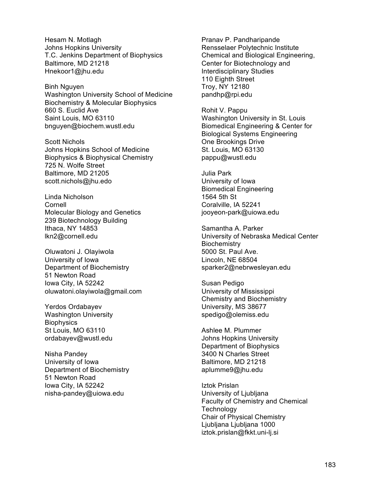Hesam N. Motlagh Johns Hopkins University T.C. Jenkins Department of Biophysics Baltimore, MD 21218 Hnekoor1@jhu.edu

Binh Nguyen Washington University School of Medicine Biochemistry & Molecular Biophysics 660 S. Euclid Ave Saint Louis, MO 63110 bnguyen@biochem.wustl.edu

Scott Nichols Johns Hopkins School of Medicine Biophysics & Biophysical Chemistry 725 N. Wolfe Street Baltimore, MD 21205 scott.nichols@jhu.edo

Linda Nicholson Cornell Molecular Biology and Genetics 239 Biotechnology Building Ithaca, NY 14853 lkn2@cornell.edu

Oluwatoni J. Olayiwola University of Iowa Department of Biochemistry 51 Newton Road Iowa City, IA 52242 oluwatoni.olayiwola@gmail.com

Yerdos Ordabayev Washington University **Biophysics** St Louis, MO 63110 ordabayev@wustl.edu

Nisha Pandey University of Iowa Department of Biochemistry 51 Newton Road Iowa City, IA 52242 nisha-pandey@uiowa.edu

Pranav P. Pandharipande Rensselaer Polytechnic Institute Chemical and Biological Engineering, Center for Biotechnology and Interdisciplinary Studies 110 Eighth Street Troy, NY 12180 pandhp@rpi.edu

Rohit V. Pappu Washington University in St. Louis Biomedical Engineering & Center for Biological Systems Engineering One Brookings Drive St. Louis, MO 63130 pappu@wustl.edu

Julia Park University of Iowa Biomedical Engineering 1564 5th St Coralville, IA 52241 jooyeon-park@uiowa.edu

Samantha A. Parker University of Nebraska Medical Center **Biochemistry** 5000 St. Paul Ave. Lincoln, NE 68504 sparker2@nebrwesleyan.edu

Susan Pedigo University of Mississippi Chemistry and Biochemistry University, MS 38677 spedigo@olemiss.edu

Ashlee M. Plummer Johns Hopkins University Department of Biophysics 3400 N Charles Street Baltimore, MD 21218 aplumme9@jhu.edu

Iztok Prislan University of Ljubljana Faculty of Chemistry and Chemical **Technology** Chair of Physical Chemistry Ljubljana Ljubljana 1000 iztok.prislan@fkkt.uni-lj.si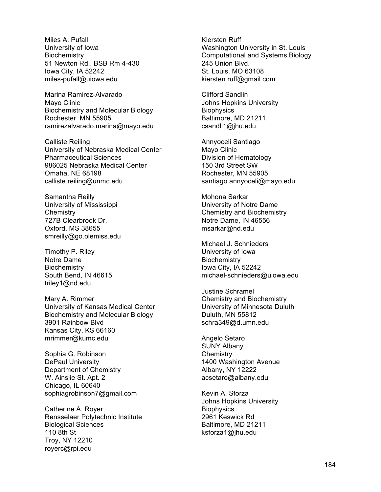Miles A. Pufall University of Iowa **Biochemistry** 51 Newton Rd., BSB Rm 4-430 Iowa City, IA 52242 miles-pufall@uiowa.edu

Marina Ramirez-Alvarado Mayo Clinic Biochemistry and Molecular Biology Rochester, MN 55905 ramirezalvarado.marina@mayo.edu

Calliste Reiling University of Nebraska Medical Center Pharmaceutical Sciences 986025 Nebraska Medical Center Omaha, NE 68198 calliste.reiling@unmc.edu

Samantha Reilly University of Mississippi **Chemistry** 727B Clearbrook Dr. Oxford, MS 38655 smreilly@go.olemiss.edu

Timothy P. Riley Notre Dame **Biochemistry** South Bend, IN 46615 triley1@nd.edu

Mary A. Rimmer University of Kansas Medical Center Biochemistry and Molecular Biology 3901 Rainbow Blvd Kansas City, KS 66160 mrimmer@kumc.edu

Sophia G. Robinson DePaul University Department of Chemistry W. Ainslie St. Apt. 2 Chicago, IL 60640 sophiagrobinson7@gmail.com

Catherine A. Royer Rensselaer Polytechnic Institute Biological Sciences 110 8th St Troy, NY 12210 royerc@rpi.edu

Kiersten Ruff Washington University in St. Louis Computational and Systems Biology 245 Union Blvd. St. Louis, MO 63108 kiersten.ruff@gmail.com

Clifford Sandlin Johns Hopkins University **Biophysics** Baltimore, MD 21211 csandli1@jhu.edu

Annyoceli Santiago Mayo Clinic Division of Hematology 150 3rd Street SW Rochester, MN 55905 santiago.annyoceli@mayo.edu

Mohona Sarkar University of Notre Dame Chemistry and Biochemistry Notre Dame, IN 46556 msarkar@nd.edu

Michael J. Schnieders University of Iowa **Biochemistry** Iowa City, IA 52242 michael-schnieders@uiowa.edu

Justine Schramel Chemistry and Biochemistry University of Minnesota Duluth Duluth, MN 55812 schra349@d.umn.edu

Angelo Setaro SUNY Albany **Chemistry** 1400 Washington Avenue Albany, NY 12222 acsetaro@albany.edu

Kevin A. Sforza Johns Hopkins University **Biophysics** 2961 Keswick Rd Baltimore, MD 21211 ksforza1@jhu.edu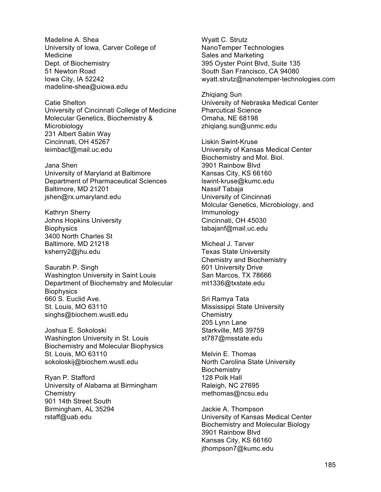Madeline A. Shea University of Iowa, Carver College of Medicine Dept. of Biochemistry 51 Newton Road Iowa City, IA 52242 madeline-shea@uiowa.edu

Catie Shelton University of Cincinnati College of Medicine Molecular Genetics, Biochemistry & **Microbiology** 231 Albert Sabin Way Cincinnati, OH 45267 leimbacf@mail.uc.edu

Jana Shen University of Maryland at Baltimore Department of Pharmaceutical Sciences Baltimore, MD 21201 jshen@rx.umaryland.edu

Kathryn Sherry Johns Hopkins University **Biophysics** 3400 North Charles St Baltimore, MD 21218 ksherry2@jhu.edu

Saurabh P. Singh Washington University in Saint Louis Department of Biochemstry and Molecular **Biophysics** 660 S. Euclid Ave. St. Louis, MO 63110 singhs@biochem.wustl.edu

Joshua E. Sokoloski Washington University in St. Louis Biochemistry and Molecular Biophysics St. Louis, MO 63110 sokoloskij@biochem.wustl.edu

Ryan P. Stafford University of Alabama at Birmingham **Chemistry** 901 14th Street South Birmingham, AL 35294 rstaff@uab.edu

Wyatt C. Strutz NanoTemper Technologies Sales and Marketing 395 Oyster Point Blvd, Suite 135 South San Francisco, CA 94080 wyatt.strutz@nanotemper-technologies.com

Zhiqiang Sun University of Nebraska Medical Center Pharcutical Science Omaha, NE 68198 zhiqiang.sun@unmc.edu

Liskin Swint-Kruse University of Kansas Medical Center Biochemistry and Mol. Biol. 3901 Rainbow Blvd Kansas City, KS 66160 lswint-kruse@kumc.edu Nassif Tabaja University of Cincinnati Molcular Genetics, Microbiology, and Immunology Cincinnati, OH 45030 tabajanf@mail.uc.edu

Micheal J. Tarver Texas State University Chemistry and Biochemistry 601 University Drive San Marcos, TX 78666 mt1336@txstate.edu

Sri Ramya Tata Mississippi State University **Chemistry** 205 Lynn Lane Starkville, MS 39759 st787@msstate.edu

Melvin E. Thomas North Carolina State University **Biochemistry** 128 Polk Hall Raleigh, NC 27695 methomas@ncsu.edu

Jackie A. Thompson University of Kansas Medical Center Biochemistry and Molecular Biology 3901 Rainbow Blvd Kansas City, KS 66160 jthompson7@kumc.edu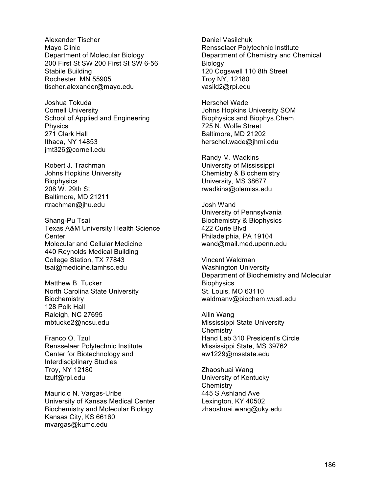Alexander Tischer Mayo Clinic Department of Molecular Biology 200 First St SW 200 First St SW 6-56 Stabile Building Rochester, MN 55905 tischer.alexander@mayo.edu

Joshua Tokuda Cornell University School of Applied and Engineering Physics 271 Clark Hall Ithaca, NY 14853 jmt326@cornell.edu

Robert J. Trachman Johns Hopkins University **Biophysics** 208 W. 29th St Baltimore, MD 21211 rtrachman@jhu.edu

Shang-Pu Tsai Texas A&M University Health Science **Center** Molecular and Cellular Medicine 440 Reynolds Medical Building College Station, TX 77843 tsai@medicine.tamhsc.edu

Matthew B. Tucker North Carolina State University **Biochemistry** 128 Polk Hall Raleigh, NC 27695 mbtucke2@ncsu.edu

Franco O. Tzul Rensselaer Polytechnic Institute Center for Biotechnology and Interdisciplinary Studies Troy, NY 12180 tzulf@rpi.edu

Mauricio N. Vargas-Uribe University of Kansas Medical Center Biochemistry and Molecular Biology Kansas City, KS 66160 mvargas@kumc.edu

Daniel Vasilchuk Rensselaer Polytechnic Institute Department of Chemistry and Chemical **Biology** 120 Cogswell 110 8th Street Troy NY, 12180 vasild2@rpi.edu

Herschel Wade Johns Hopkins University SOM Biophysics and Biophys.Chem 725 N. Wolfe Street Baltimore, MD 21202 herschel.wade@jhmi.edu

Randy M. Wadkins University of Mississippi Chemistry & Biochemistry University, MS 38677 rwadkins@olemiss.edu

Josh Wand University of Pennsylvania Biochemistry & Biophysics 422 Curie Blvd Philadelphia, PA 19104 wand@mail.med.upenn.edu

Vincent Waldman Washington University Department of Biochemistry and Molecular **Biophysics** St. Louis, MO 63110 waldmanv@biochem.wustl.edu

Ailin Wang Mississippi State University **Chemistry** Hand Lab 310 President's Circle Mississippi State, MS 39762 aw1229@msstate.edu

Zhaoshuai Wang University of Kentucky **Chemistry** 445 S Ashland Ave Lexington, KY 40502 zhaoshuai.wang@uky.edu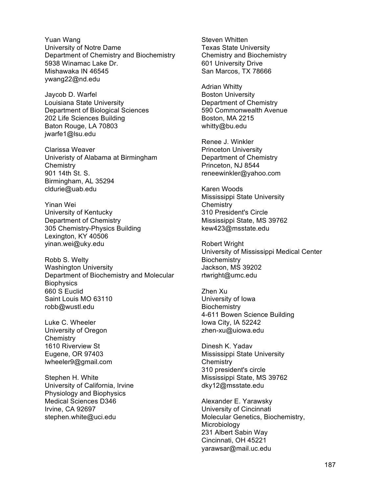Yuan Wang University of Notre Dame Department of Chemistry and Biochemistry 5938 Winamac Lake Dr. Mishawaka IN 46545 ywang22@nd.edu

Jaycob D. Warfel Louisiana State University Department of Biological Sciences 202 Life Sciences Building Baton Rouge, LA 70803 jwarfe1@lsu.edu

Clarissa Weaver Univeristy of Alabama at Birmingham **Chemistry** 901 14th St. S. Birmingham, AL 35294 cldurie@uab.edu

Yinan Wei University of Kentucky Department of Chemistry 305 Chemistry-Physics Building Lexington, KY 40506 yinan.wei@uky.edu

Robb S. Welty Washington University Department of Biochemistry and Molecular **Biophysics** 660 S Euclid Saint Louis MO 63110 robb@wustl.edu

Luke C. Wheeler University of Oregon **Chemistry** 1610 Riverview St Eugene, OR 97403 lwheeler9@gmail.com

Stephen H. White University of California, Irvine Physiology and Biophysics Medical Sciences D346 Irvine, CA 92697 stephen.white@uci.edu

Steven Whitten Texas State University Chemistry and Biochemistry 601 University Drive San Marcos, TX 78666

Adrian Whitty Boston University Department of Chemistry 590 Commonwealth Avenue Boston, MA 2215 whitty@bu.edu

Renee J. Winkler Princeton University Department of Chemistry Princeton, NJ 8544 reneewinkler@yahoo.com

Karen Woods Mississippi State University **Chemistry** 310 President's Circle Mississippi State, MS 39762 kew423@msstate.edu

Robert Wright University of Mississippi Medical Center **Biochemistry** Jackson, MS 39202 rtwright@umc.edu

Zhen Xu University of Iowa **Biochemistry** 4-611 Bowen Science Building Iowa City, IA 52242 zhen-xu@uiowa.edu

Dinesh K. Yadav Mississippi State University **Chemistry** 310 president's circle Mississippi State, MS 39762 dky12@msstate.edu

Alexander E. Yarawsky University of Cincinnati Molecular Genetics, Biochemistry, **Microbiology** 231 Albert Sabin Way Cincinnati, OH 45221 yarawsar@mail.uc.edu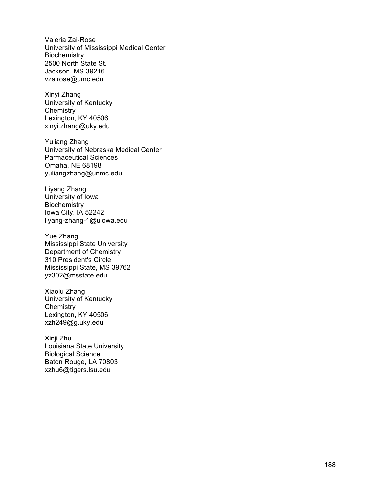Valeria Zai -Rose University of Mississippi Medical Center **Biochemistry** 2500 North State St. Jackson, MS 39216 vzairose@umc.edu

Xinyi Zhang University of Kentucky **Chemistry** Lexington, KY 40506 xinyi.zhang@uky.edu

Yuliang Zhang University of Nebraska Medical Center Parmaceutical Sciences Omaha, NE 68198 yuliangzhang@unmc.edu

Liyang Zhang University of Iowa **Biochemistry** Iowa City, IA 52242 liyang -zhang -1@uiowa.edu

Yue Zhang Mississippi State University Department of Chemistry 310 President's Circle Mississippi State, MS 39762 yz302@msstate.edu

Xiaolu Zhang University of Kentucky **Chemistry** Lexington, KY 40506 xzh249@g.uky.edu

Xinji Zhu Louisiana State University Biological Science Baton Rouge, LA 70803 xzhu6@tigers.lsu.edu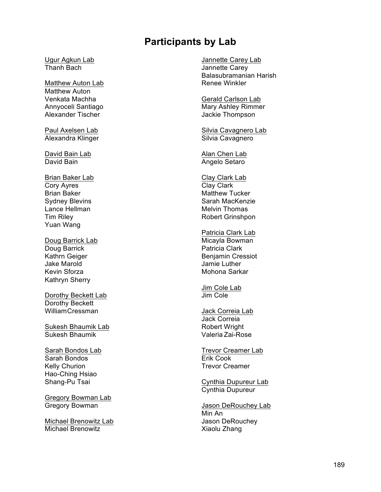## **Participants by Lab**

Ugur Agkun Lab Thanh Bach

Matthew Auton Lab Matthew Auton Venkata Machha Annyoceli Santiago Alexander Tischer

Paul Axelsen Lab Alexandra Klinger

David Bain Lab David Bain

Brian Baker Lab Cory Ayres Brian Baker Sydney Blevins Lance Hellman Tim Riley Yuan Wang

Doug Barrick Lab Doug Barrick Kathrn Geiger Jake Marold Kevin Sforza Kathryn Sherry

Dorothy Beckett Lab Dorothy Beckett WilliamCressman

Sukesh Bhaumik Lab Sukesh Bhaumik

Sarah Bondos Lab Sarah Bondos Kelly Churion Hao-Ching Hsiao Shang-Pu Tsai

Gregory Bowman Lab Gregory Bowman

Michael Brenowitz Lab Michael Brenowitz

Jannette Carey Lab Jannette Carey Balasubramanian Harish Renee Winkler

Gerald Carlson Lab Mary Ashley Rimmer Jackie Thompson

Silvia Cavagnero Lab Silvia Cavagnero

Alan Chen Lab Angelo Setaro

Clay Clark Lab Clay Clark Matthew Tucker Sarah MacKenzie Melvin Thomas Robert Grinshpon

Patricia Clark Lab Micayla Bowman Patricia Clark Benjamin Cressiot Jamie Luther Mohona Sarkar

Jim Cole Lab Jim Cole

Jack Correia Lab Jack Correia Robert Wright Valeria Zai-Rose

Trevor Creamer Lab Erik Cook Trevor Creamer

Cynthia Dupureur Lab Cynthia Dupureur

Jason DeRouchey Lab Min An Jason DeRouchey Xiaolu Zhang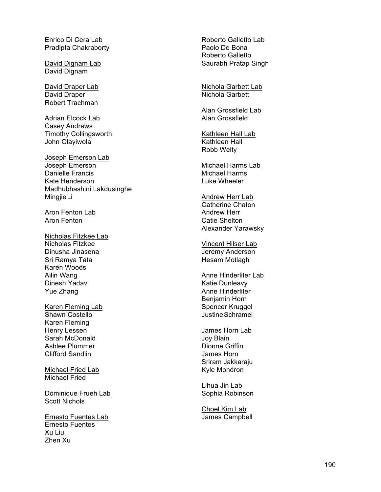Enrico Di Cera Lab Pradipta Chakraborty

David Dignam Lab David Dignam

David Draper Lab David Draper Robert Trachman

Adrian Elcock Lab Casey Andrews Timothy Collingsworth John Olayiwola

Joseph Emerson Lab Joseph Emerson Danielle Francis Kate Henderson Madhubhashini Lakdusinghe MingjieLi

Aron Fenton Lab Aron Fenton

Nicholas Fitzkee Lab Nicholas Fitzkee Dinusha Jinasena Sri Ramya Tata Karen Woods Ailin Wang Dinesh Yadav Yue Zhang

Karen Fleming Lab Shawn Costello Karen Fleming Henry Lessen Sarah McDonald Ashlee Plummer Clifford Sandlin

Michael Fried Lab Michael Fried

Dominique Frueh Lab Scott Nichols

Ernesto Fuentes Lab Ernesto Fuentes Xu Liu Zhen Xu

Roberto Galletto Lab Paolo De Bona Roberto Galletto Saurabh Pratap Singh

Nichola Garbett Lab Nichola Garbett

Alan Grossfield Lab Alan Grossfield

Kathleen Hall Lab Kathleen Hall Robb Welty

Michael Harms Lab Michael Harms Luke Wheeler

Andrew Herr Lab Catherine Chaton Andrew Herr Catie Shelton Alexander Yarawsky

Vincent Hilser Lab Jeremy Anderson Hesam Motlagh

Anne Hinderliter Lab Katie Dunleavy Anne Hinderliter Benjamin Horn Spencer Kruggel Justine Schramel

James Horn Lab Joy Blain Dionne Griffin James Horn Sriram Jakkaraju Kyle Mondron

Lihua Jin Lab Sophia Robinson

Choel Kim Lab James Campbell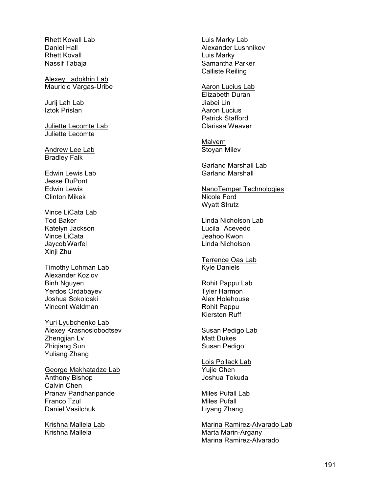Rhett Kovall Lab Daniel Hall Rhett Kovall Nassif Tabaja

Alexey Ladokhin Lab Mauricio Vargas -Uribe

Jurij Lah Lab Iztok Prislan

Juliette Lecomte Lab Juliette Lecomte

Andrew Lee Lab Bradley Falk

Edwin Lewis Lab Jesse DuPont Edwin Lewis Clinton Mikek

Vince LiCata Lab Tod Baker Katelyn Jackson Vince LiCata JaycobWarfel Xinji Zhu

Timothy Lohman Lab Alexander Kozlov Binh Nguyen Yerdos Ordabayev Joshua Sokoloski Vincent Waldman

Yuri Lyubchenko Lab Alexey Krasnoslobodtsev Zhengjian Lv Zhiqiang Sun Yuliang Zhang

George Makhatadze Lab Anthony Bishop Calvin Chen Pranav Pandharipande Franco Tzul Daniel Vasilchuk

Krishna Mallela Lab Krishna Mallela

Luis Marky Lab Alexander Lushnikov Luis Marky Samantha Parker Calliste Reiling

Aaron Lucius Lab Elizabeth Duran Jiabei Lin Aaron Lucius Patrick Stafford Clarissa Weaver

Malvern Stoyan Milev

Garland Marshall Lab Garland Marshall

NanoTemper Technologies Nicole Ford Wyatt Strutz

Linda Nicholson Lab Lucila Acevedo Jeahoo Kwon Linda Nicholson

Terrence Oas Lab Kyle Daniels

Rohit Pappu Lab Tyler Harmon Alex Holehouse Rohit Pappu Kiersten Ruff

Susan Pedigo Lab Matt Dukes Susan Pedigo

Lois Pollack Lab Yujie Chen Joshua Tokuda

Miles Pufall Lab Miles Pufall Liyang Zhang

Marina Ramirez -Alvarado Lab Marta Marin -Argany Marina Ramirez -Alvarado